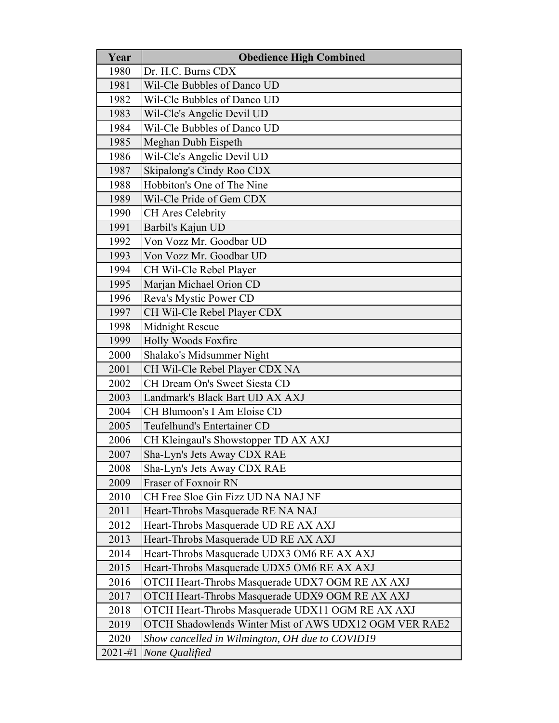| Year        | <b>Obedience High Combined</b>                         |
|-------------|--------------------------------------------------------|
| 1980        | Dr. H.C. Burns CDX                                     |
| 1981        | Wil-Cle Bubbles of Danco UD                            |
| 1982        | Wil-Cle Bubbles of Danco UD                            |
| 1983        | Wil-Cle's Angelic Devil UD                             |
| 1984        | Wil-Cle Bubbles of Danco UD                            |
| 1985        | Meghan Dubh Eispeth                                    |
| 1986        | Wil-Cle's Angelic Devil UD                             |
| 1987        | Skipalong's Cindy Roo CDX                              |
| 1988        | Hobbiton's One of The Nine                             |
| 1989        | Wil-Cle Pride of Gem CDX                               |
| 1990        | <b>CH</b> Ares Celebrity                               |
| 1991        | Barbil's Kajun UD                                      |
| 1992        | Von Vozz Mr. Goodbar UD                                |
| 1993        | Von Vozz Mr. Goodbar UD                                |
| 1994        | CH Wil-Cle Rebel Player                                |
| 1995        | Marjan Michael Orion CD                                |
| 1996        | Reva's Mystic Power CD                                 |
| 1997        | CH Wil-Cle Rebel Player CDX                            |
| 1998        | Midnight Rescue                                        |
| 1999        | Holly Woods Foxfire                                    |
| 2000        | Shalako's Midsummer Night                              |
| 2001        | CH Wil-Cle Rebel Player CDX NA                         |
| 2002        | CH Dream On's Sweet Siesta CD                          |
| 2003        | Landmark's Black Bart UD AX AXJ                        |
| 2004        | CH Blumoon's I Am Eloise CD                            |
| 2005        | Teufelhund's Entertainer CD                            |
| 2006        | CH Kleingaul's Showstopper TD AX AXJ                   |
| 2007        | Sha-Lyn's Jets Away CDX RAE                            |
| 2008        | Sha-Lyn's Jets Away CDX RAE                            |
| 2009        | <b>Fraser of Foxnoir RN</b>                            |
| 2010        | CH Free Sloe Gin Fizz UD NA NAJ NF                     |
| 2011        | Heart-Throbs Masquerade RE NA NAJ                      |
| 2012        | Heart-Throbs Masquerade UD RE AX AXJ                   |
| 2013        | Heart-Throbs Masquerade UD RE AX AXJ                   |
| 2014        | Heart-Throbs Masquerade UDX3 OM6 RE AX AXJ             |
| 2015        | Heart-Throbs Masquerade UDX5 OM6 RE AX AXJ             |
| 2016        | OTCH Heart-Throbs Masquerade UDX7 OGM RE AX AXJ        |
| 2017        | OTCH Heart-Throbs Masquerade UDX9 OGM RE AX AXJ        |
| 2018        | OTCH Heart-Throbs Masquerade UDX11 OGM RE AX AXJ       |
| 2019        | OTCH Shadowlends Winter Mist of AWS UDX12 OGM VER RAE2 |
| 2020        | Show cancelled in Wilmington, OH due to COVID19        |
| $2021 - #1$ | None Qualified                                         |